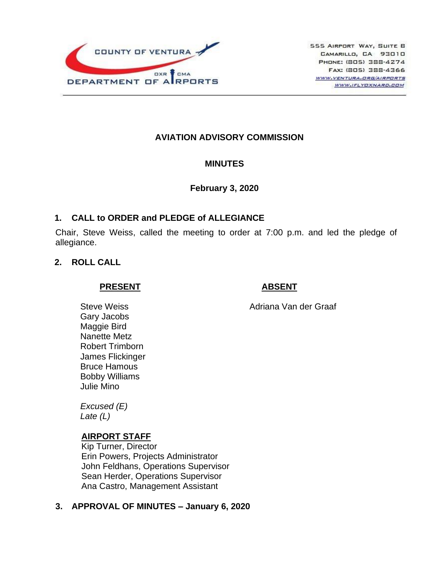

## **AVIATION ADVISORY COMMISSION**

#### **MINUTES**

#### **February 3, 2020**

### **1. CALL to ORDER and PLEDGE of ALLEGIANCE**

Chair, Steve Weiss, called the meeting to order at 7:00 p.m. and led the pledge of allegiance.

### **2. ROLL CALL**

#### **PRESENT**

## **ABSENT**

Adriana Van der Graaf

Steve Weiss Gary Jacobs Maggie Bird Nanette Metz Robert Trimborn James Flickinger Bruce Hamous Bobby Williams Julie Mino

*Excused (E) Late (L)*

## **AIRPORT STAFF**

Kip Turner, Director Erin Powers, Projects Administrator John Feldhans, Operations Supervisor Sean Herder, Operations Supervisor Ana Castro, Management Assistant

## **3. APPROVAL OF MINUTES – January 6, 2020**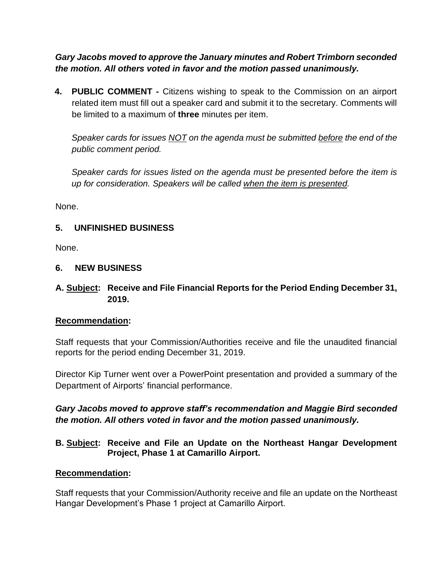*Gary Jacobs moved to approve the January minutes and Robert Trimborn seconded the motion. All others voted in favor and the motion passed unanimously.*

**4. PUBLIC COMMENT -** Citizens wishing to speak to the Commission on an airport related item must fill out a speaker card and submit it to the secretary. Comments will be limited to a maximum of **three** minutes per item.

*Speaker cards for issues NOT on the agenda must be submitted before the end of the public comment period.* 

*Speaker cards for issues listed on the agenda must be presented before the item is up for consideration. Speakers will be called when the item is presented.*

None.

## **5. UNFINISHED BUSINESS**

None.

## **6. NEW BUSINESS**

**A. Subject: Receive and File Financial Reports for the Period Ending December 31, 2019.**

# **Recommendation:**

Staff requests that your Commission/Authorities receive and file the unaudited financial reports for the period ending December 31, 2019.

Director Kip Turner went over a PowerPoint presentation and provided a summary of the Department of Airports' financial performance.

# *Gary Jacobs moved to approve staff's recommendation and Maggie Bird seconded the motion. All others voted in favor and the motion passed unanimously.*

## **B. Subject: Receive and File an Update on the Northeast Hangar Development Project, Phase 1 at Camarillo Airport.**

## **Recommendation:**

Staff requests that your Commission/Authority receive and file an update on the Northeast Hangar Development's Phase 1 project at Camarillo Airport.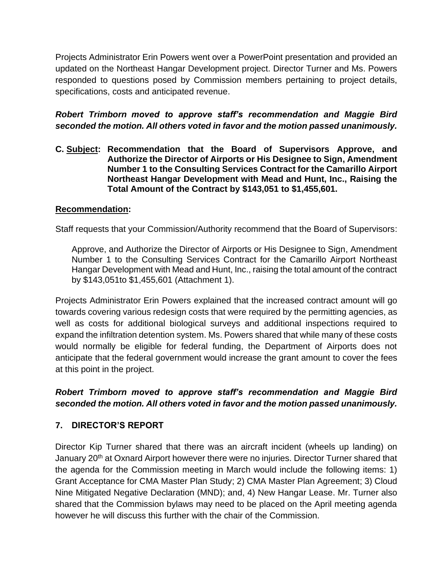Projects Administrator Erin Powers went over a PowerPoint presentation and provided an updated on the Northeast Hangar Development project. Director Turner and Ms. Powers responded to questions posed by Commission members pertaining to project details, specifications, costs and anticipated revenue.

*Robert Trimborn moved to approve staff's recommendation and Maggie Bird seconded the motion. All others voted in favor and the motion passed unanimously.*

**C. Subject: Recommendation that the Board of Supervisors Approve, and Authorize the Director of Airports or His Designee to Sign, Amendment Number 1 to the Consulting Services Contract for the Camarillo Airport Northeast Hangar Development with Mead and Hunt, Inc., Raising the Total Amount of the Contract by \$143,051 to \$1,455,601.**

## **Recommendation:**

Staff requests that your Commission/Authority recommend that the Board of Supervisors:

Approve, and Authorize the Director of Airports or His Designee to Sign, Amendment Number 1 to the Consulting Services Contract for the Camarillo Airport Northeast Hangar Development with Mead and Hunt, Inc., raising the total amount of the contract by \$143,051to \$1,455,601 (Attachment 1).

Projects Administrator Erin Powers explained that the increased contract amount will go towards covering various redesign costs that were required by the permitting agencies, as well as costs for additional biological surveys and additional inspections required to expand the infiltration detention system. Ms. Powers shared that while many of these costs would normally be eligible for federal funding, the Department of Airports does not anticipate that the federal government would increase the grant amount to cover the fees at this point in the project.

## *Robert Trimborn moved to approve staff's recommendation and Maggie Bird seconded the motion. All others voted in favor and the motion passed unanimously.*

# **7. DIRECTOR'S REPORT**

Director Kip Turner shared that there was an aircraft incident (wheels up landing) on January 20<sup>th</sup> at Oxnard Airport however there were no injuries. Director Turner shared that the agenda for the Commission meeting in March would include the following items: 1) Grant Acceptance for CMA Master Plan Study; 2) CMA Master Plan Agreement; 3) Cloud Nine Mitigated Negative Declaration (MND); and, 4) New Hangar Lease. Mr. Turner also shared that the Commission bylaws may need to be placed on the April meeting agenda however he will discuss this further with the chair of the Commission.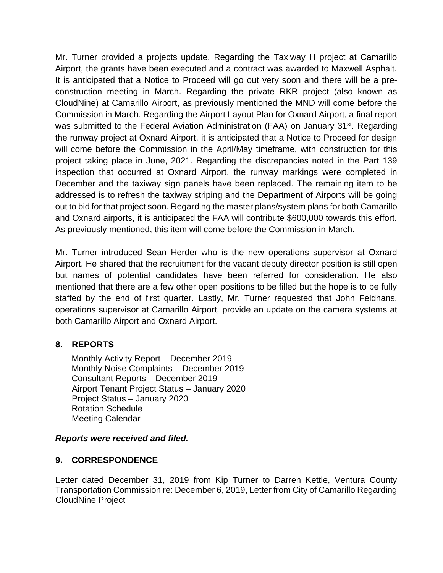Mr. Turner provided a projects update. Regarding the Taxiway H project at Camarillo Airport, the grants have been executed and a contract was awarded to Maxwell Asphalt. It is anticipated that a Notice to Proceed will go out very soon and there will be a preconstruction meeting in March. Regarding the private RKR project (also known as CloudNine) at Camarillo Airport, as previously mentioned the MND will come before the Commission in March. Regarding the Airport Layout Plan for Oxnard Airport, a final report was submitted to the Federal Aviation Administration (FAA) on January 31<sup>st</sup>. Regarding the runway project at Oxnard Airport, it is anticipated that a Notice to Proceed for design will come before the Commission in the April/May timeframe, with construction for this project taking place in June, 2021. Regarding the discrepancies noted in the Part 139 inspection that occurred at Oxnard Airport, the runway markings were completed in December and the taxiway sign panels have been replaced. The remaining item to be addressed is to refresh the taxiway striping and the Department of Airports will be going out to bid for that project soon. Regarding the master plans/system plans for both Camarillo and Oxnard airports, it is anticipated the FAA will contribute \$600,000 towards this effort. As previously mentioned, this item will come before the Commission in March.

Mr. Turner introduced Sean Herder who is the new operations supervisor at Oxnard Airport. He shared that the recruitment for the vacant deputy director position is still open but names of potential candidates have been referred for consideration. He also mentioned that there are a few other open positions to be filled but the hope is to be fully staffed by the end of first quarter. Lastly, Mr. Turner requested that John Feldhans, operations supervisor at Camarillo Airport, provide an update on the camera systems at both Camarillo Airport and Oxnard Airport.

## **8. REPORTS**

Monthly Activity Report – December 2019 Monthly Noise Complaints – December 2019 Consultant Reports – December 2019 Airport Tenant Project Status – January 2020 Project Status – January 2020 Rotation Schedule Meeting Calendar

#### *Reports were received and filed.*

#### **9. CORRESPONDENCE**

Letter dated December 31, 2019 from Kip Turner to Darren Kettle, Ventura County Transportation Commission re: December 6, 2019, Letter from City of Camarillo Regarding CloudNine Project